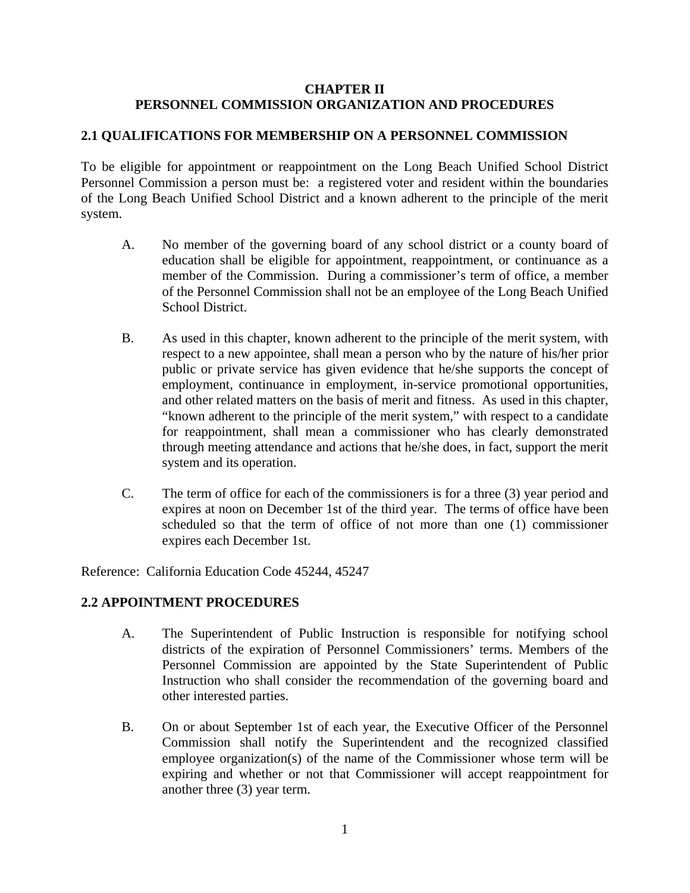### **CHAPTER II PERSONNEL COMMISSION ORGANIZATION AND PROCEDURES**

### **2.1 QUALIFICATIONS FOR MEMBERSHIP ON A PERSONNEL COMMISSION**

To be eligible for appointment or reappointment on the Long Beach Unified School District Personnel Commission a person must be: a registered voter and resident within the boundaries of the Long Beach Unified School District and a known adherent to the principle of the merit system.

- A. No member of the governing board of any school district or a county board of education shall be eligible for appointment, reappointment, or continuance as a member of the Commission. During a commissioner's term of office, a member of the Personnel Commission shall not be an employee of the Long Beach Unified School District.
- B. As used in this chapter, known adherent to the principle of the merit system, with respect to a new appointee, shall mean a person who by the nature of his/her prior public or private service has given evidence that he/she supports the concept of employment, continuance in employment, in-service promotional opportunities, and other related matters on the basis of merit and fitness. As used in this chapter, "known adherent to the principle of the merit system," with respect to a candidate for reappointment, shall mean a commissioner who has clearly demonstrated through meeting attendance and actions that he/she does, in fact, support the merit system and its operation.
- C. The term of office for each of the commissioners is for a three (3) year period and expires at noon on December 1st of the third year. The terms of office have been scheduled so that the term of office of not more than one (1) commissioner expires each December 1st.

Reference: California Education Code 45244, 45247

### **2.2 APPOINTMENT PROCEDURES**

- A. The Superintendent of Public Instruction is responsible for notifying school districts of the expiration of Personnel Commissioners' terms. Members of the Personnel Commission are appointed by the State Superintendent of Public Instruction who shall consider the recommendation of the governing board and other interested parties.
- B. On or about September 1st of each year, the Executive Officer of the Personnel Commission shall notify the Superintendent and the recognized classified employee organization(s) of the name of the Commissioner whose term will be expiring and whether or not that Commissioner will accept reappointment for another three (3) year term.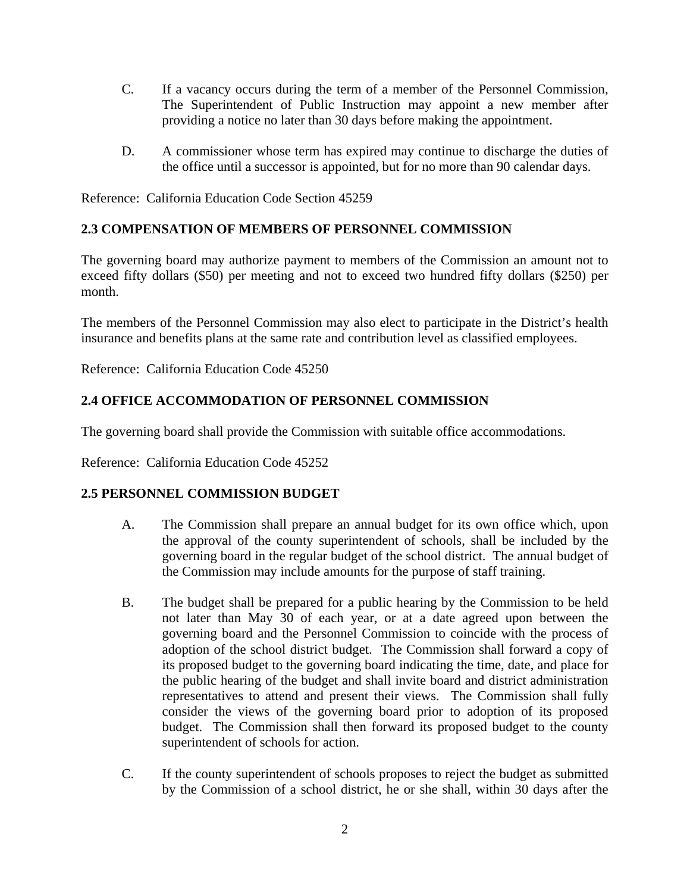- C. If a vacancy occurs during the term of a member of the Personnel Commission, The Superintendent of Public Instruction may appoint a new member after providing a notice no later than 30 days before making the appointment.
- D. A commissioner whose term has expired may continue to discharge the duties of the office until a successor is appointed, but for no more than 90 calendar days.

Reference: California Education Code Section 45259

# **2.3 COMPENSATION OF MEMBERS OF PERSONNEL COMMISSION**

The governing board may authorize payment to members of the Commission an amount not to exceed fifty dollars (\$50) per meeting and not to exceed two hundred fifty dollars (\$250) per month.

The members of the Personnel Commission may also elect to participate in the District's health insurance and benefits plans at the same rate and contribution level as classified employees.

Reference: California Education Code 45250

# **2.4 OFFICE ACCOMMODATION OF PERSONNEL COMMISSION**

The governing board shall provide the Commission with suitable office accommodations.

Reference: California Education Code 45252

### **2.5 PERSONNEL COMMISSION BUDGET**

- A. The Commission shall prepare an annual budget for its own office which, upon the approval of the county superintendent of schools, shall be included by the governing board in the regular budget of the school district. The annual budget of the Commission may include amounts for the purpose of staff training.
- B. The budget shall be prepared for a public hearing by the Commission to be held not later than May 30 of each year, or at a date agreed upon between the governing board and the Personnel Commission to coincide with the process of adoption of the school district budget. The Commission shall forward a copy of its proposed budget to the governing board indicating the time, date, and place for the public hearing of the budget and shall invite board and district administration representatives to attend and present their views. The Commission shall fully consider the views of the governing board prior to adoption of its proposed budget. The Commission shall then forward its proposed budget to the county superintendent of schools for action.
- C. If the county superintendent of schools proposes to reject the budget as submitted by the Commission of a school district, he or she shall, within 30 days after the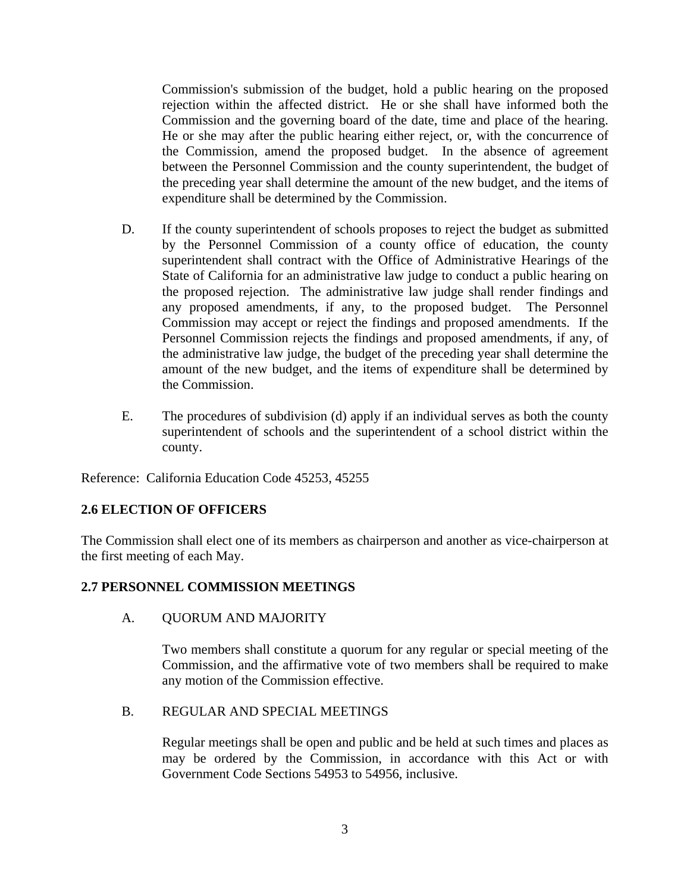Commission's submission of the budget, hold a public hearing on the proposed rejection within the affected district. He or she shall have informed both the Commission and the governing board of the date, time and place of the hearing. He or she may after the public hearing either reject, or, with the concurrence of the Commission, amend the proposed budget. In the absence of agreement between the Personnel Commission and the county superintendent, the budget of the preceding year shall determine the amount of the new budget, and the items of expenditure shall be determined by the Commission.

- D. If the county superintendent of schools proposes to reject the budget as submitted by the Personnel Commission of a county office of education, the county superintendent shall contract with the Office of Administrative Hearings of the State of California for an administrative law judge to conduct a public hearing on the proposed rejection. The administrative law judge shall render findings and any proposed amendments, if any, to the proposed budget. The Personnel Commission may accept or reject the findings and proposed amendments. If the Personnel Commission rejects the findings and proposed amendments, if any, of the administrative law judge, the budget of the preceding year shall determine the amount of the new budget, and the items of expenditure shall be determined by the Commission.
- E. The procedures of subdivision (d) apply if an individual serves as both the county superintendent of schools and the superintendent of a school district within the county.

Reference: California Education Code 45253, 45255

# **2.6 ELECTION OF OFFICERS**

 The Commission shall elect one of its members as chairperson and another as vice-chairperson at the first meeting of each May.

### **2.7 PERSONNEL COMMISSION MEETINGS**

A. QUORUM AND MAJORITY

Two members shall constitute a quorum for any regular or special meeting of the Commission, and the affirmative vote of two members shall be required to make any motion of the Commission effective.

B. REGULAR AND SPECIAL MEETINGS

Regular meetings shall be open and public and be held at such times and places as may be ordered by the Commission, in accordance with this Act or with Government Code Sections 54953 to 54956, inclusive.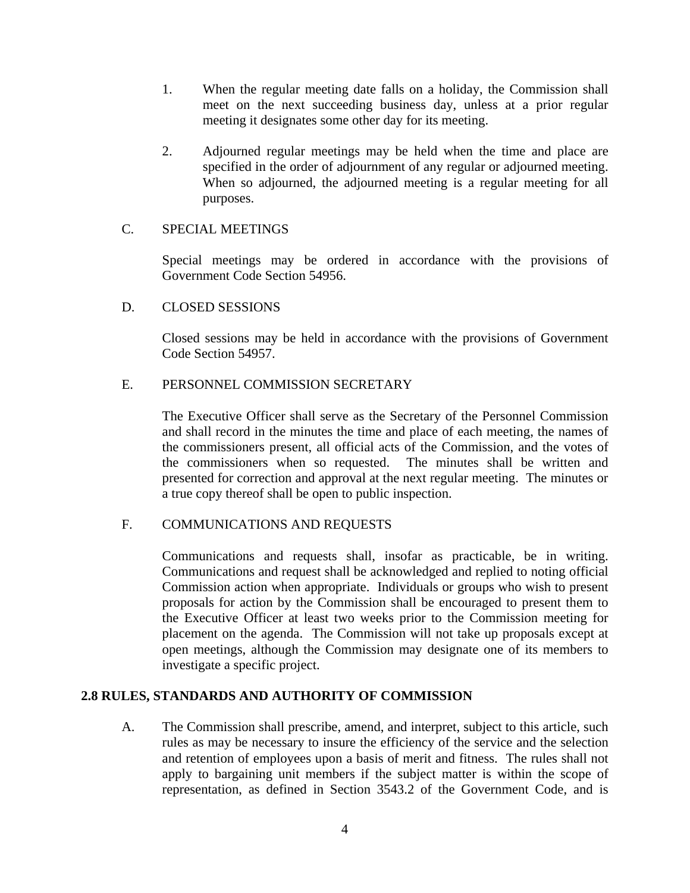- 1. When the regular meeting date falls on a holiday, the Commission shall meet on the next succeeding business day, unless at a prior regular meeting it designates some other day for its meeting.
- 2. Adjourned regular meetings may be held when the time and place are specified in the order of adjournment of any regular or adjourned meeting. When so adjourned, the adjourned meeting is a regular meeting for all purposes.

#### C. SPECIAL MEETINGS

Special meetings may be ordered in accordance with the provisions of Government Code Section 54956.

#### D. CLOSED SESSIONS

Closed sessions may be held in accordance with the provisions of Government Code Section 54957.

### E. PERSONNEL COMMISSION SECRETARY

The Executive Officer shall serve as the Secretary of the Personnel Commission and shall record in the minutes the time and place of each meeting, the names of the commissioners present, all official acts of the Commission, and the votes of the commissioners when so requested. The minutes shall be written and presented for correction and approval at the next regular meeting. The minutes or a true copy thereof shall be open to public inspection.

### F. COMMUNICATIONS AND REQUESTS

Communications and requests shall, insofar as practicable, be in writing. Communications and request shall be acknowledged and replied to noting official Commission action when appropriate. Individuals or groups who wish to present proposals for action by the Commission shall be encouraged to present them to the Executive Officer at least two weeks prior to the Commission meeting for placement on the agenda. The Commission will not take up proposals except at open meetings, although the Commission may designate one of its members to investigate a specific project.

### **2.8 RULES, STANDARDS AND AUTHORITY OF COMMISSION**

A. The Commission shall prescribe, amend, and interpret, subject to this article, such rules as may be necessary to insure the efficiency of the service and the selection and retention of employees upon a basis of merit and fitness. The rules shall not apply to bargaining unit members if the subject matter is within the scope of representation, as defined in Section 3543.2 of the Government Code, and is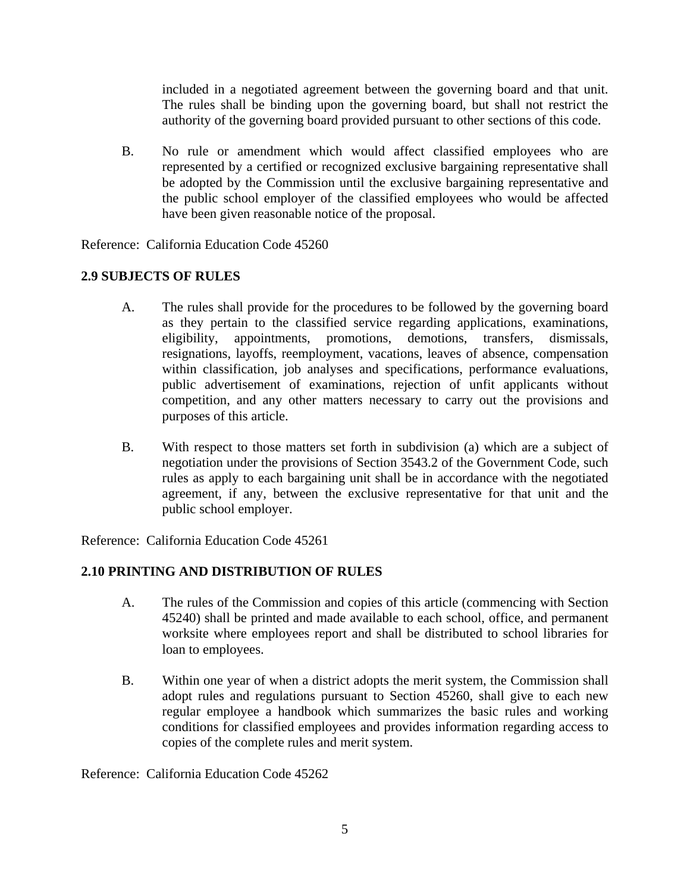included in a negotiated agreement between the governing board and that unit. The rules shall be binding upon the governing board, but shall not restrict the authority of the governing board provided pursuant to other sections of this code.

B. No rule or amendment which would affect classified employees who are represented by a certified or recognized exclusive bargaining representative shall be adopted by the Commission until the exclusive bargaining representative and the public school employer of the classified employees who would be affected have been given reasonable notice of the proposal.

Reference: California Education Code 45260

# **2.9 SUBJECTS OF RULES**

- A. The rules shall provide for the procedures to be followed by the governing board as they pertain to the classified service regarding applications, examinations, eligibility, appointments, promotions, demotions, transfers, dismissals, resignations, layoffs, reemployment, vacations, leaves of absence, compensation within classification, job analyses and specifications, performance evaluations, public advertisement of examinations, rejection of unfit applicants without competition, and any other matters necessary to carry out the provisions and purposes of this article.
- B. With respect to those matters set forth in subdivision (a) which are a subject of negotiation under the provisions of Section 3543.2 of the Government Code, such rules as apply to each bargaining unit shall be in accordance with the negotiated agreement, if any, between the exclusive representative for that unit and the public school employer.

Reference: California Education Code 45261

# **2.10 PRINTING AND DISTRIBUTION OF RULES**

- A. The rules of the Commission and copies of this article (commencing with Section 45240) shall be printed and made available to each school, office, and permanent worksite where employees report and shall be distributed to school libraries for loan to employees.
- B. Within one year of when a district adopts the merit system, the Commission shall adopt rules and regulations pursuant to Section 45260, shall give to each new regular employee a handbook which summarizes the basic rules and working conditions for classified employees and provides information regarding access to copies of the complete rules and merit system.

Reference: California Education Code 45262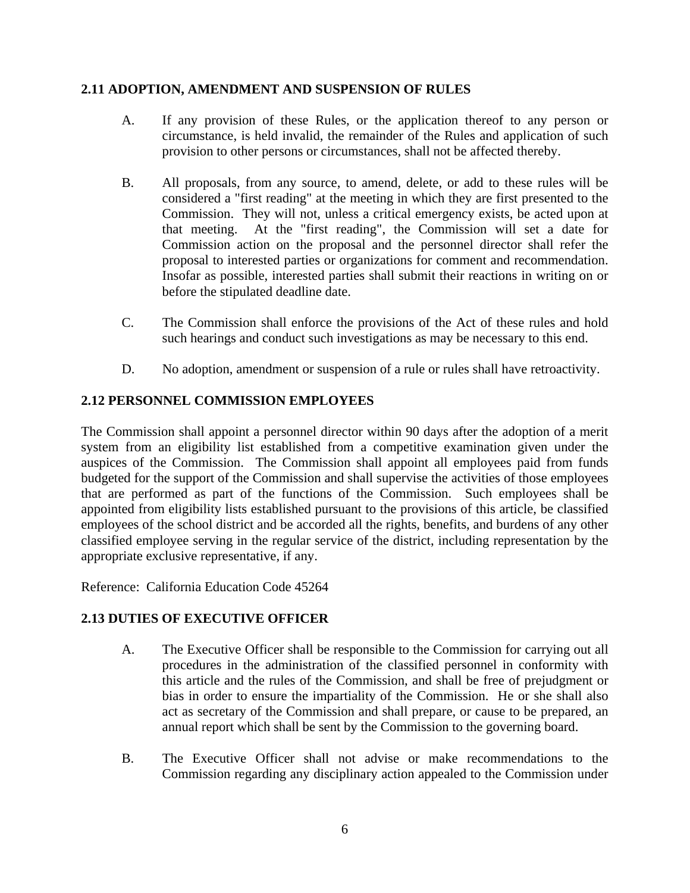### **2.11 ADOPTION, AMENDMENT AND SUSPENSION OF RULES**

- A. If any provision of these Rules, or the application thereof to any person or circumstance, is held invalid, the remainder of the Rules and application of such provision to other persons or circumstances, shall not be affected thereby.
- B. All proposals, from any source, to amend, delete, or add to these rules will be considered a "first reading" at the meeting in which they are first presented to the Commission. They will not, unless a critical emergency exists, be acted upon at that meeting. At the "first reading", the Commission will set a date for Commission action on the proposal and the personnel director shall refer the proposal to interested parties or organizations for comment and recommendation. Insofar as possible, interested parties shall submit their reactions in writing on or before the stipulated deadline date.
- C. The Commission shall enforce the provisions of the Act of these rules and hold such hearings and conduct such investigations as may be necessary to this end.
- D. No adoption, amendment or suspension of a rule or rules shall have retroactivity.

# **2.12 PERSONNEL COMMISSION EMPLOYEES**

 The Commission shall appoint a personnel director within 90 days after the adoption of a merit system from an eligibility list established from a competitive examination given under the auspices of the Commission. The Commission shall appoint all employees paid from funds budgeted for the support of the Commission and shall supervise the activities of those employees that are performed as part of the functions of the Commission. Such employees shall be appointed from eligibility lists established pursuant to the provisions of this article, be classified employees of the school district and be accorded all the rights, benefits, and burdens of any other classified employee serving in the regular service of the district, including representation by the appropriate exclusive representative, if any.

Reference: California Education Code 45264

# **2.13 DUTIES OF EXECUTIVE OFFICER**

- A. The Executive Officer shall be responsible to the Commission for carrying out all procedures in the administration of the classified personnel in conformity with this article and the rules of the Commission, and shall be free of prejudgment or bias in order to ensure the impartiality of the Commission. He or she shall also act as secretary of the Commission and shall prepare, or cause to be prepared, an annual report which shall be sent by the Commission to the governing board.
- B. The Executive Officer shall not advise or make recommendations to the Commission regarding any disciplinary action appealed to the Commission under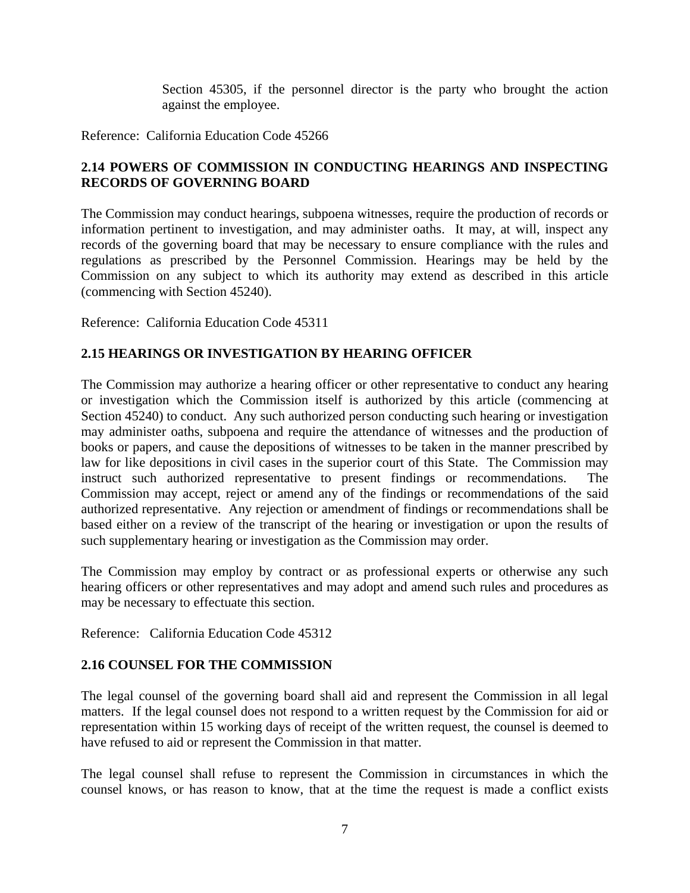Section 45305, if the personnel director is the party who brought the action against the employee.

Reference: California Education Code 45266

# **2.14 POWERS OF COMMISSION IN CONDUCTING HEARINGS AND INSPECTING RECORDS OF GOVERNING BOARD**

The Commission may conduct hearings, subpoena witnesses, require the production of records or information pertinent to investigation, and may administer oaths. It may, at will, inspect any records of the governing board that may be necessary to ensure compliance with the rules and regulations as prescribed by the Personnel Commission. Hearings may be held by the Commission on any subject to which its authority may extend as described in this article (commencing with Section 45240).

Reference: California Education Code 45311

# **2.15 HEARINGS OR INVESTIGATION BY HEARING OFFICER**

The Commission may authorize a hearing officer or other representative to conduct any hearing or investigation which the Commission itself is authorized by this article (commencing at Section 45240) to conduct. Any such authorized person conducting such hearing or investigation may administer oaths, subpoena and require the attendance of witnesses and the production of books or papers, and cause the depositions of witnesses to be taken in the manner prescribed by law for like depositions in civil cases in the superior court of this State. The Commission may instruct such authorized representative to present findings or recommendations. The Commission may accept, reject or amend any of the findings or recommendations of the said authorized representative. Any rejection or amendment of findings or recommendations shall be based either on a review of the transcript of the hearing or investigation or upon the results of such supplementary hearing or investigation as the Commission may order.

The Commission may employ by contract or as professional experts or otherwise any such hearing officers or other representatives and may adopt and amend such rules and procedures as may be necessary to effectuate this section.

Reference: California Education Code 45312

### **2.16 COUNSEL FOR THE COMMISSION**

The legal counsel of the governing board shall aid and represent the Commission in all legal matters. If the legal counsel does not respond to a written request by the Commission for aid or representation within 15 working days of receipt of the written request, the counsel is deemed to have refused to aid or represent the Commission in that matter.

The legal counsel shall refuse to represent the Commission in circumstances in which the counsel knows, or has reason to know, that at the time the request is made a conflict exists